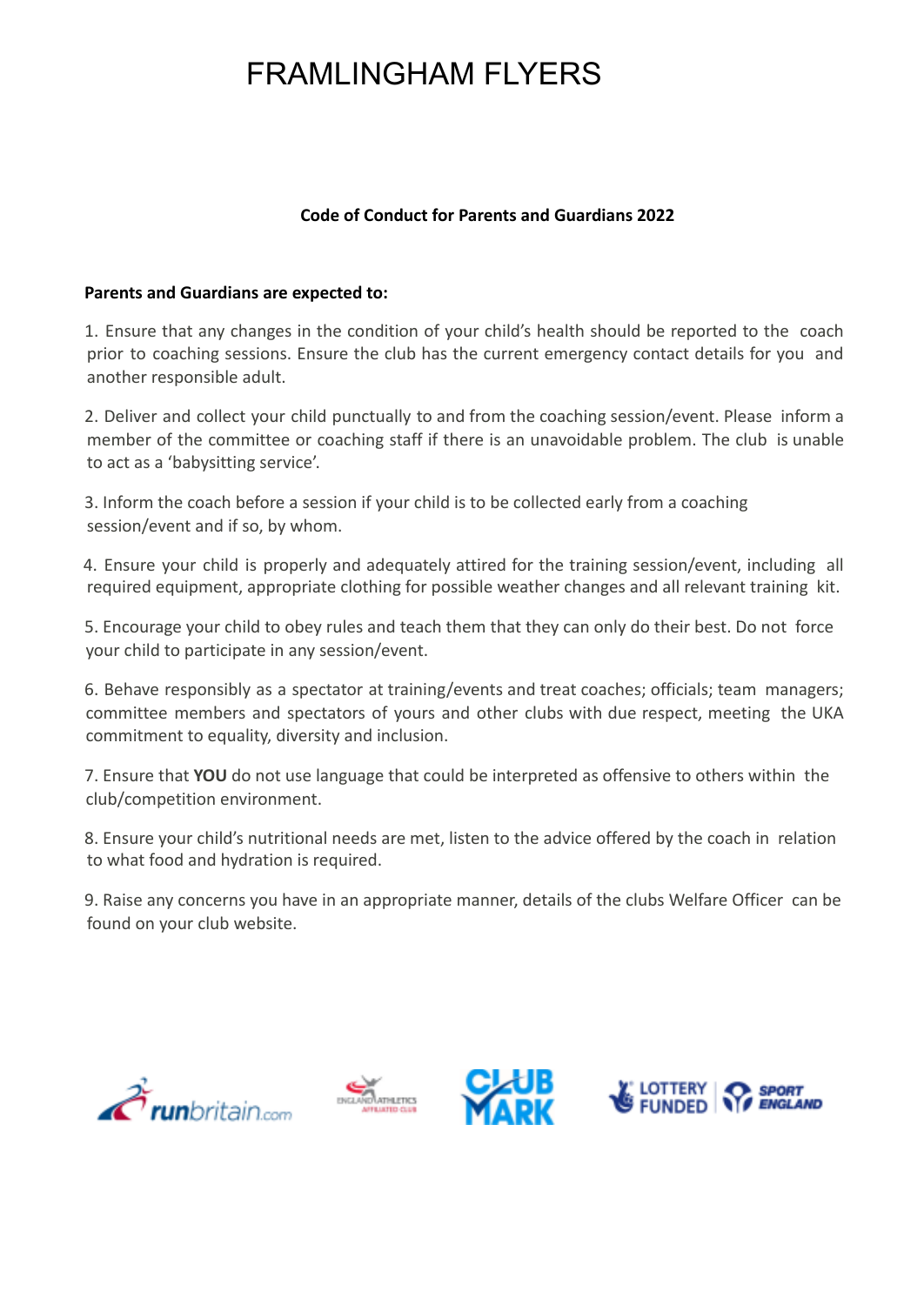## FRAMLINGHAM FLYERS

## **Code of Conduct for Parents and Guardians 2022**

## **Parents and Guardians are expected to:**

1. Ensure that any changes in the condition of your child's health should be reported to the coach prior to coaching sessions. Ensure the club has the current emergency contact details for you and another responsible adult.

2. Deliver and collect your child punctually to and from the coaching session/event. Please inform a member of the committee or coaching staff if there is an unavoidable problem. The club is unable to act as a 'babysitting service'.

3. Inform the coach before a session if your child is to be collected early from a coaching session/event and if so, by whom.

4. Ensure your child is properly and adequately attired for the training session/event, including all required equipment, appropriate clothing for possible weather changes and all relevant training kit.

5. Encourage your child to obey rules and teach them that they can only do their best. Do not force your child to participate in any session/event.

6. Behave responsibly as a spectator at training/events and treat coaches; officials; team managers; committee members and spectators of yours and other clubs with due respect, meeting the UKA commitment to equality, diversity and inclusion.

7. Ensure that **YOU** do not use language that could be interpreted as offensive to others within the club/competition environment.

8. Ensure your child's nutritional needs are met, listen to the advice offered by the coach in relation to what food and hydration is required.

9. Raise any concerns you have in an appropriate manner, details of the clubs Welfare Officer can be found on your club website.